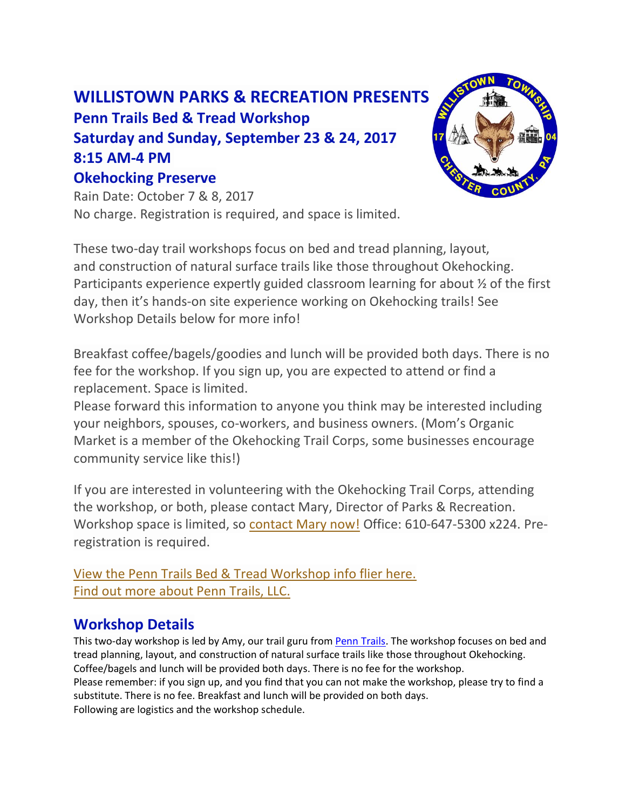## **WILLISTOWN PARKS & RECREATION PRESENTS Penn Trails Bed & Tread Workshop Saturday and Sunday, September 23 & 24, 2017 8:15 AM-4 PM Okehocking Preserve**



Rain Date: October 7 & 8, 2017 No charge. Registration is required, and space is limited.

These two-day trail workshops focus on bed and tread planning, layout, and construction of natural surface trails like those throughout Okehocking. Participants experience expertly guided classroom learning for about ½ of the first day, then it's hands-on site experience working on Okehocking trails! See Workshop Details below for more info!

Breakfast coffee/bagels/goodies and lunch will be provided both days. There is no fee for the workshop. If you sign up, you are expected to attend or find a replacement. Space is limited.

Please forward this information to anyone you think may be interested including your neighbors, spouses, co-workers, and business owners. (Mom's Organic Market is a member of the Okehocking Trail Corps, some businesses encourage community service like this!)

If you are interested in volunteering with the Okehocking Trail Corps, attending the workshop, or both, please contact Mary, Director of Parks & Recreation. Workshop space is limited, so [contact Mary now!](mailto:mhundt@willistown.pa.us) Office: 610-647-5300 x224. Preregistration is required.

[View the Penn Trails Bed & Tread Workshop info flier here.](http://www.willistown.pa.us/DocumentCenter/View/707) [Find out more about Penn Trails, LLC.](http://www.penntrails.com/)

## **Workshop Details**

This two-day workshop is led by Amy, our trail guru from [Penn Trails.](http://www.penntrails.com/AboutUs.htm) The workshop focuses on bed and tread planning, layout, and construction of natural surface trails like those throughout Okehocking. Coffee/bagels and lunch will be provided both days. There is no fee for the workshop. Please remember: if you sign up, and you find that you can not make the workshop, please try to find a substitute. There is no fee. Breakfast and lunch will be provided on both days. Following are logistics and the workshop schedule.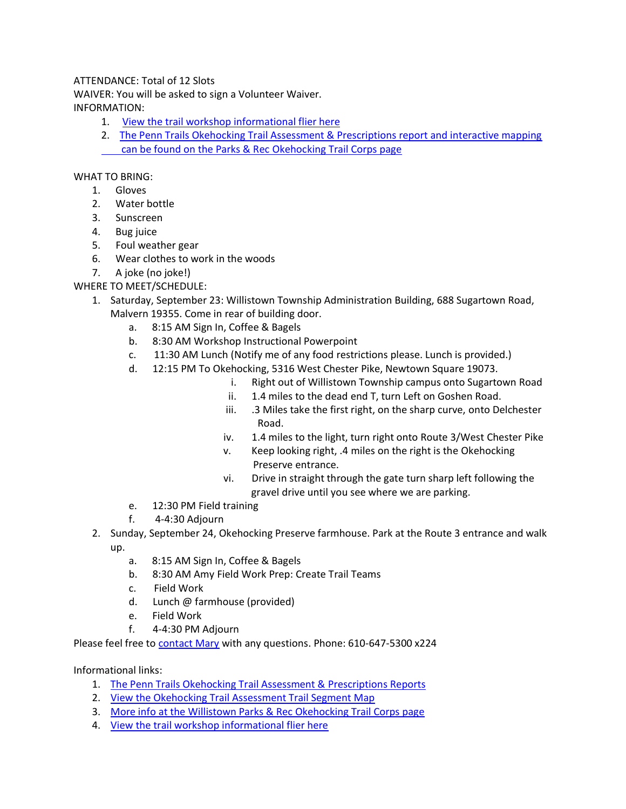## ATTENDANCE: Total of 12 Slots

WAIVER: You will be asked to sign a Volunteer Waiver. INFORMATION:

- 1. [View the trail workshop informational flier here](http://www.willistown.pa.us/DocumentCenter/View/707)
- 2. The Penn Trails Okehocking Trail Assessment & Prescriptions report and interactive mapping  [can be found on the Parks & Rec Okehocking Trail Corps page](http://www.willistown.pa.us/index.aspx?nid=273)

WHAT TO BRING:

- 1. Gloves
- 2. Water bottle
- 3. Sunscreen
- 4. Bug juice
- 5. Foul weather gear
- 6. Wear clothes to work in the woods
- 7. A joke (no joke!)

WHERE TO MEET/SCHEDULE:

- 1. Saturday, September 23: Willistown Township Administration Building, 688 Sugartown Road, Malvern 19355. Come in rear of building door.
	- a. 8:15 AM Sign In, Coffee & Bagels
	- b. 8:30 AM Workshop Instructional Powerpoint
	- c. 11:30 AM Lunch (Notify me of any food restrictions please. Lunch is provided.)
	- d. 12:15 PM To Okehocking, 5316 West Chester Pike, Newtown Square 19073.
		- i. Right out of Willistown Township campus onto Sugartown Road
		- ii. 1.4 miles to the dead end T, turn Left on Goshen Road.
		- iii. .3 Miles take the first right, on the sharp curve, onto Delchester Road.
		- iv. 1.4 miles to the light, turn right onto Route 3/West Chester Pike
		- v. Keep looking right, .4 miles on the right is the Okehocking Preserve entrance.
		- vi. Drive in straight through the gate turn sharp left following the gravel drive until you see where we are parking.
	- e. 12:30 PM Field training
	- f. 4-4:30 Adjourn
- 2. Sunday, September 24, Okehocking Preserve farmhouse. Park at the Route 3 entrance and walk up.
	- a. 8:15 AM Sign In, Coffee & Bagels
	- b. 8:30 AM Amy Field Work Prep: Create Trail Teams
	- c. Field Work
	- d. Lunch @ farmhouse (provided)
	- e. Field Work
	- f. 4-4:30 PM Adjourn

Please feel free to [contact Mary](mailto:mhundt@willistown.pa.us) with any questions. Phone: 610-647-5300 x224

Informational links:

- 1. [The Penn Trails Okehocking Trail Assessment &](http://www.willistown.pa.us/DocumentCenter/View/706) Prescriptions Reports
- 2. [View the Okehocking Trail Assessment Trail Segment Map](http://www.willistown.pa.us/DocumentCenter/View/796)
- 3. [More info at the Willistown Parks & Rec Okehocking Trail Corps page](http://www.willistown.pa.us/index.aspx?nid=273)
- 4. [View the trail workshop informational flier here](http://www.willistown.pa.us/index.aspx?nid=277)